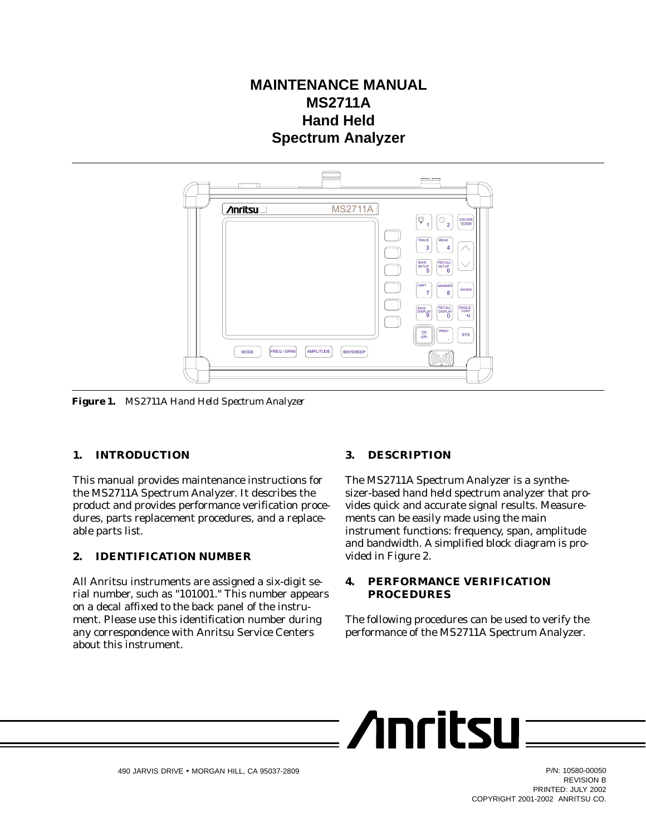# **MAINTENANCE MANUAL MS2711A Hand Held Spectrum Analyzer**



*Figure 1. MS2711A Hand Held Spectrum Analyzer*

#### **1. INTRODUCTION**

This manual provides maintenance instructions for the MS2711A Spectrum Analyzer. It describes the product and provides performance verification procedures, parts replacement procedures, and a replaceable parts list.

#### **2. IDENTIFICATION NUMBER**

All Anritsu instruments are assigned a six-digit serial number, such as "101001." This number appears on a decal affixed to the back panel of the instrument. Please use this identification number during any correspondence with Anritsu Service Centers about this instrument.

#### **3. DESCRIPTION**

The MS2711A Spectrum Analyzer is a synthesizer-based hand held spectrum analyzer that provides quick and accurate signal results. Measurements can be easily made using the main instrument functions: frequency, span, amplitude and bandwidth. A simplified block diagram is provided in Figure 2.

#### **4. PERFORMANCE VERIFICATION PROCEDURES**

**Moritsur** 

The following procedures can be used to verify the performance of the MS2711A Spectrum Analyzer.



REVISION B PRINTED: JULY 2002 COPYRIGHT 2001-2002 ANRITSU CO.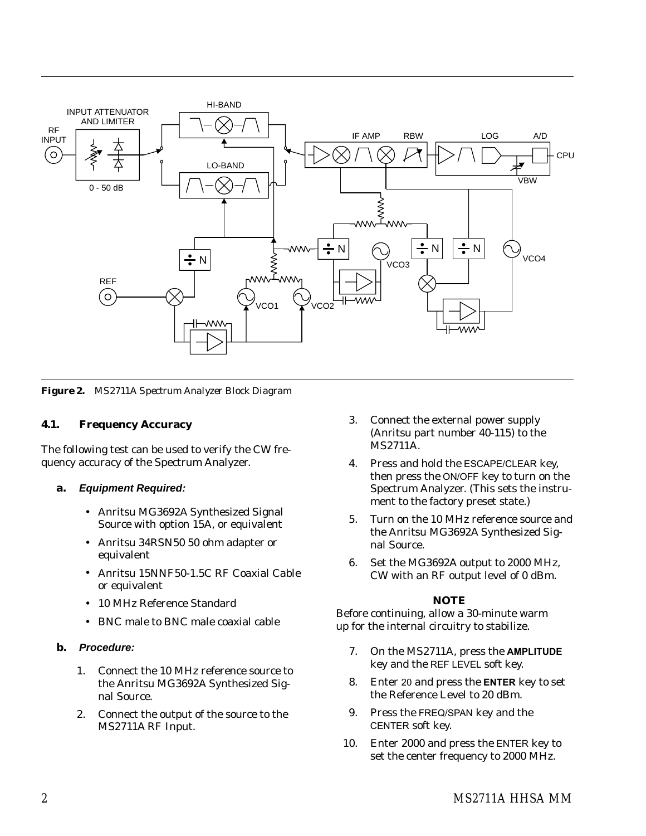

*Figure 2. MS2711A Spectrum Analyzer Block Diagram*

## **4.1. Frequency Accuracy**

The following test can be used to verify the CW frequency accuracy of the Spectrum Analyzer.

#### **a. Equipment Required:**

- Anritsu MG3692A Synthesized Signal Source with option 15A, or equivalent
- Anritsu 34RSN50 50 ohm adapter or equivalent
- Anritsu 15NNF50-1.5C RF Coaxial Cable or equivalent
- 10 MHz Reference Standard
- BNC male to BNC male coaxial cable

#### **b. Procedure:**

- 1. Connect the 10 MHz reference source to the Anritsu MG3692A Synthesized Signal Source.
- 2. Connect the output of the source to the MS2711A RF Input.
- 3. Connect the external power supply (Anritsu part number 40-115) to the MS2711A.
- 4. Press and hold the ESCAPE/CLEAR key, then press the ON/OFF key to turn on the Spectrum Analyzer. (This sets the instrument to the factory preset state.)
- 5. Turn on the 10 MHz reference source and the Anritsu MG3692A Synthesized Signal Source.
- 6. Set the MG3692A output to 2000 MHz, CW with an RF output level of 0 dBm.

#### *NOTE*

- 7. On the MS2711A, press the **AMPLITUDE** key and the REF LEVEL soft key.
- 8. Enter 20 and press the **ENTER** key to set the Reference Level to 20 dBm.
- 9. Press the FREQ/SPAN key and the CENTER soft key.
- 10. Enter 2000 and press the ENTER key to set the center frequency to 2000 MHz.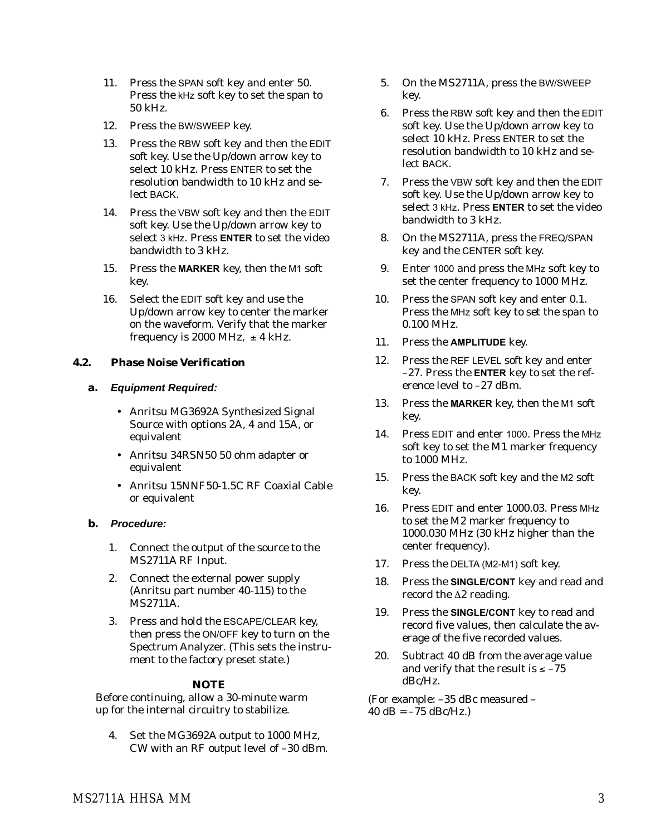- 11. Press the SPAN soft key and enter 50. Press the kHz soft key to set the span to 50 kHz.
- 12. Press the BW/SWEEP key.
- 13. Press the RBW soft key and then the EDIT soft key. Use the Up/down arrow key to select 10 kHz. Press ENTER to set the resolution bandwidth to 10 kHz and select BACK.
- 14. Press the VBW soft key and then the EDIT soft key. Use the Up/down arrow key to select 3 kHz. Press **ENTER** to set the video bandwidth to 3 kHz.
- 15. Press the **MARKER** key, then the M1 soft key.
- 16. Select the EDIT soft key and use the Up/down arrow key to center the marker on the waveform. Verify that the marker frequency is 2000 MHz,  $\pm 4$  kHz.

#### **4.2. Phase Noise Verification**

#### **a. Equipment Required:**

- Anritsu MG3692A Synthesized Signal Source with options 2A, 4 and 15A, or equivalent
- Anritsu 34RSN50 50 ohm adapter or equivalent
- Anritsu 15NNF50-1.5C RF Coaxial Cable or equivalent

#### **b. Procedure:**

- 1. Connect the output of the source to the MS2711A RF Input.
- 2. Connect the external power supply (Anritsu part number 40-115) to the MS2711A.
- 3. Press and hold the ESCAPE/CLEAR key, then press the ON/OFF key to turn on the Spectrum Analyzer. (This sets the instrument to the factory preset state.)

#### *NOTE*

Before continuing, allow a 30-minute warm up for the internal circuitry to stabilize.

4. Set the MG3692A output to 1000 MHz, CW with an RF output level of –30 dBm.

- 5. On the MS2711A, press the BW/SWEEP key.
- 6. Press the RBW soft key and then the EDIT soft key. Use the Up/down arrow key to select 10 kHz. Press ENTER to set the resolution bandwidth to 10 kHz and select BACK.
- 7. Press the VBW soft key and then the EDIT soft key. Use the Up/down arrow key to select 3 kHz. Press **ENTER** to set the video bandwidth to 3 kHz.
- 8. On the MS2711A, press the FREQ/SPAN key and the CENTER soft key.
- 9. Enter 1000 and press the MHz soft key to set the center frequency to 1000 MHz.
- 10. Press the SPAN soft key and enter 0.1. Press the MHz soft key to set the span to 0.100 MHz.
- 11. Press the **AMPLITUDE** key.
- 12. Press the REF LEVEL soft key and enter –27. Press the **ENTER** key to set the reference level to –27 dBm.
- 13. Press the **MARKER** key, then the M1 soft key.
- 14. Press EDIT and enter 1000. Press the MHz soft key to set the M1 marker frequency to 1000 MHz.
- 15. Press the BACK soft key and the M2 soft key.
- 16. Press EDIT and enter 1000.03. Press MHz to set the M2 marker frequency to 1000.030 MHz (30 kHz higher than the center frequency).
- 17. Press the DELTA (M2-M1) soft key.
- 18. Press the **SINGLE/CONT** key and read and record the  $\Delta 2$  reading.
- 19. Press the **SINGLE/CONT** key to read and record five values, then calculate the average of the five recorded values.
- 20. Subtract 40 dB from the average value and verify that the result is  $\le -75$ dBc/Hz.

(For example: –35 dBc measured –  $40 dB = -75 dBc/Hz.$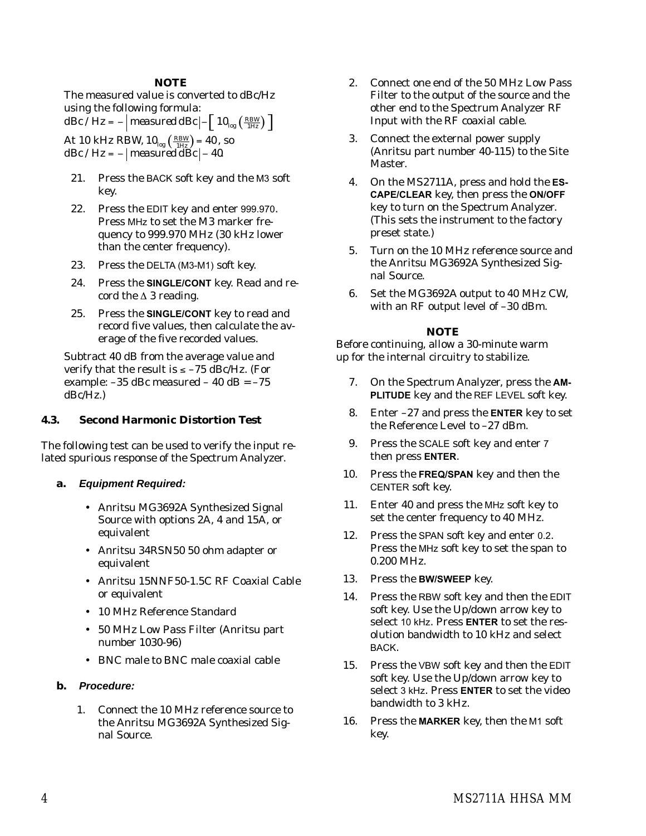#### *NOTE*

The measured value is converted to dBc/Hz using the following formula: *dBc* / *Hz* =  $-$  | *measured dBc*  $\left| -\left[ 10_{\log} \left( \frac{RBW}{1Hz} \right) \right] \right|$ At 10 kHz RBW,  $10_{log} \left( \frac{RBW}{1Hz} \right) = 40$ , so *dBc* /  $Hz = -\vert measured$ *dBc* $\vert - 40$ .

- 21. Press the BACK soft key and the M3 soft key.
- 22. Press the EDIT key and enter 999.970. Press MHz to set the M3 marker frequency to 999.970 MHz (30 kHz lower than the center frequency).
- 23. Press the DELTA (M3-M1) soft key.
- 24. Press the **SINGLE/CONT** key. Read and record the  $\Delta$  3 reading.
- 25. Press the **SINGLE/CONT** key to read and record five values, then calculate the average of the five recorded values.

Subtract 40 dB from the average value and verify that the result is  $\le -75$  dBc/Hz. (For example:  $-35$  dBc measured  $-40$  dB =  $-75$ dBc/Hz.)

#### **4.3. Second Harmonic Distortion Test**

The following test can be used to verify the input related spurious response of the Spectrum Analyzer.

- **a. Equipment Required:**
	- Anritsu MG3692A Synthesized Signal Source with options 2A, 4 and 15A, or equivalent
	- Anritsu 34RSN50 50 ohm adapter or equivalent
	- Anritsu 15NNF50-1.5C RF Coaxial Cable or equivalent
	- 10 MHz Reference Standard
	- 50 MHz Low Pass Filter (Anritsu part number 1030-96)
	- BNC male to BNC male coaxial cable

#### **b. Procedure:**

1. Connect the 10 MHz reference source to the Anritsu MG3692A Synthesized Signal Source.

- 2. Connect one end of the 50 MHz Low Pass Filter to the output of the source and the other end to the Spectrum Analyzer RF Input with the RF coaxial cable.
- 3. Connect the external power supply (Anritsu part number 40-115) to the Site Master.
- 4. On the MS2711A, press and hold the **ES-CAPE/CLEAR** key, then press the **ON/OFF** key to turn on the Spectrum Analyzer. (This sets the instrument to the factory preset state.)
- 5. Turn on the 10 MHz reference source and the Anritsu MG3692A Synthesized Signal Source.
- 6. Set the MG3692A output to 40 MHz CW, with an RF output level of –30 dBm.

#### *NOTE*

- 7. On the Spectrum Analyzer, press the **AM-PLITUDE** key and the REF LEVEL soft key.
- 8. Enter –27 and press the **ENTER** key to set the Reference Level to –27 dBm.
- 9. Press the SCALE soft key and enter 7 then press **ENTER**.
- 10. Press the **FREQ/SPAN** key and then the CENTER soft key.
- 11. Enter 40 and press the MHz soft key to set the center frequency to 40 MHz.
- 12. Press the SPAN soft key and enter 0.2. Press the MHz soft key to set the span to 0.200 MHz.
- 13. Press the **BW/SWEEP** key.
- 14. Press the RBW soft key and then the EDIT soft key. Use the Up/down arrow key to select 10 kHz. Press **ENTER** to set the resolution bandwidth to 10 kHz and select BACK.
- 15. Press the VBW soft key and then the EDIT soft key. Use the Up/down arrow key to select 3 kHz. Press **ENTER** to set the video bandwidth to 3 kHz.
- 16. Press the **MARKER** key, then the M1 soft key.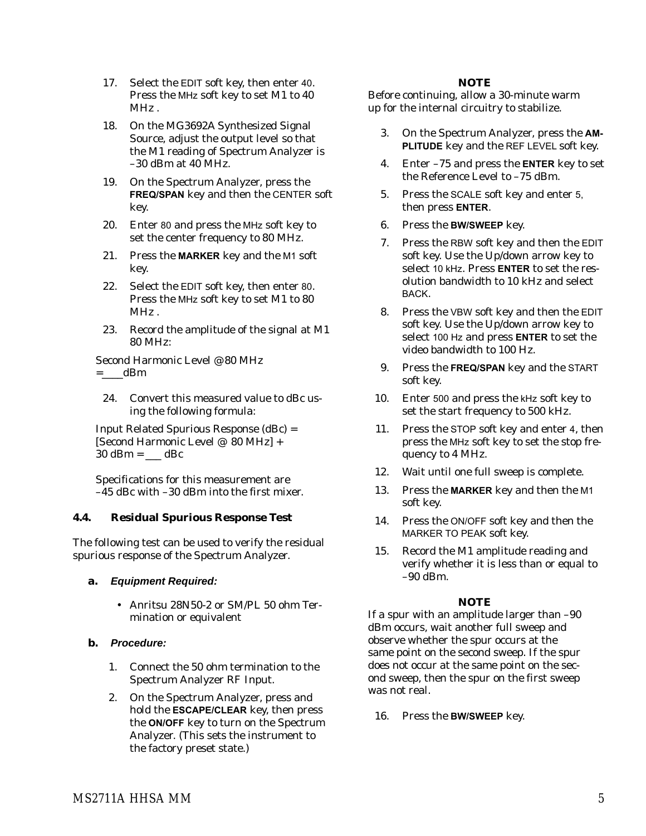- 17. Select the EDIT soft key, then enter 40. Press the MHz soft key to set M1 to 40 MHz .
- 18. On the MG3692A Synthesized Signal Source, adjust the output level so that the M1 reading of Spectrum Analyzer is –30 dBm at 40 MHz.
- 19. On the Spectrum Analyzer, press the **FREQ/SPAN** key and then the CENTER soft key.
- 20. Enter 80 and press the MHz soft key to set the center frequency to 80 MHz.
- 21. Press the **MARKER** key and the M1 soft key.
- 22. Select the EDIT soft key, then enter 80. Press the MHz soft key to set M1 to 80 MHz .
- 23. Record the amplitude of the signal at M1 80 MHz:

Second Harmonic Level @ 80 MHz  $=$  dBm

24. Convert this measured value to dBc using the following formula:

Input Related Spurious Response (dBc) = [Second Harmonic Level @ 80 MHz] +  $30$  dBm = \_\_\_ dBc

Specifications for this measurement are –45 dBc with –30 dBm into the first mixer.

# **4.4. Residual Spurious Response Test**

The following test can be used to verify the residual spurious response of the Spectrum Analyzer.

#### **a. Equipment Required:**

 Anritsu 28N50-2 or SM/PL 50 ohm Termination or equivalent

# **b. Procedure:**

- 1. Connect the 50 ohm termination to the Spectrum Analyzer RF Input.
- 2. On the Spectrum Analyzer, press and hold the **ESCAPE/CLEAR** key, then press the **ON/OFF** key to turn on the Spectrum Analyzer. (This sets the instrument to the factory preset state.)

## *NOTE*

Before continuing, allow a 30-minute warm up for the internal circuitry to stabilize.

- 3. On the Spectrum Analyzer, press the **AM-PLITUDE** key and the REF LEVEL soft key.
- 4. Enter –75 and press the **ENTER** key to set the Reference Level to –75 dBm.
- 5. Press the SCALE soft key and enter 5, then press **ENTER**.
- 6. Press the **BW/SWEEP** key.
- 7. Press the RBW soft key and then the EDIT soft key. Use the Up/down arrow key to select 10 kHz. Press **ENTER** to set the resolution bandwidth to 10 kHz and select BACK.
- 8. Press the VBW soft key and then the EDIT soft key. Use the Up/down arrow key to select 100 Hz and press **ENTER** to set the video bandwidth to 100 Hz.
- 9. Press the **FREQ/SPAN** key and the START soft key.
- 10. Enter 500 and press the kHz soft key to set the start frequency to 500 kHz.
- 11. Press the STOP soft key and enter 4, then press the MHz soft key to set the stop frequency to 4 MHz.
- 12. Wait until one full sweep is complete.
- 13. Press the **MARKER** key and then the M1 soft key.
- 14. Press the ON/OFF soft key and then the MARKER TO PEAK soft key.
- 15. Record the M1 amplitude reading and verify whether it is less than or equal to –90 dBm.

# *NOTE*

If a spur with an amplitude larger than –90 dBm occurs, wait another full sweep and observe whether the spur occurs at the same point on the second sweep. If the spur does not occur at the same point on the second sweep, then the spur on the first sweep was not real.

16. Press the **BW/SWEEP** key.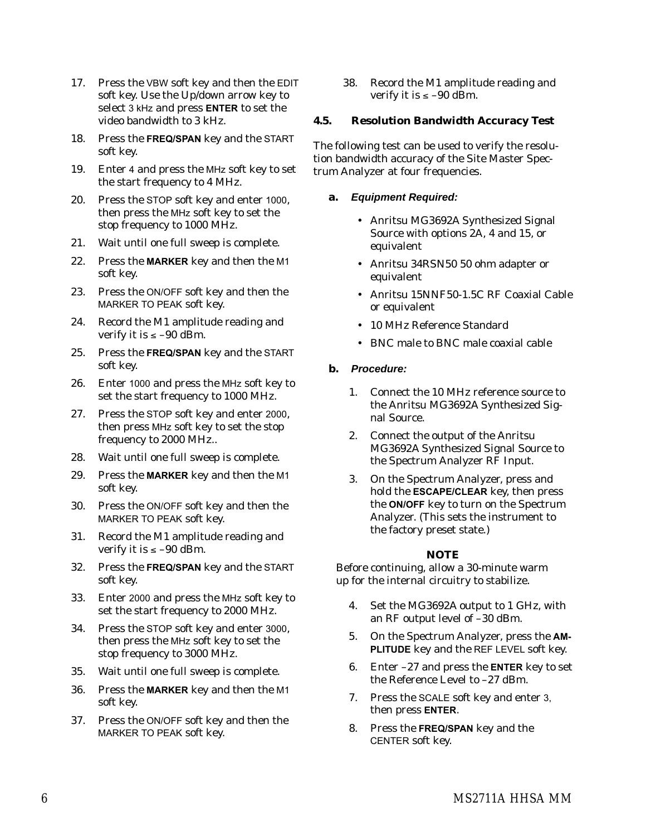- 17. Press the VBW soft key and then the EDIT soft key. Use the Up/down arrow key to select 3 kHz and press **ENTER** to set the video bandwidth to 3 kHz.
- 18. Press the **FREQ/SPAN** key and the START soft key.
- 19. Enter 4 and press the MHz soft key to set the start frequency to 4 MHz.
- 20. Press the STOP soft key and enter 1000, then press the MHz soft key to set the stop frequency to 1000 MHz.
- 21. Wait until one full sweep is complete.
- 22. Press the **MARKER** key and then the M1 soft key.
- 23. Press the ON/OFF soft key and then the MARKER TO PEAK soft key.
- 24. Record the M1 amplitude reading and verify it is  $\le$  -90 dBm.
- 25. Press the **FREQ/SPAN** key and the START soft key.
- 26. Enter 1000 and press the MHz soft key to set the start frequency to 1000 MHz.
- 27. Press the STOP soft key and enter 2000, then press MHz soft key to set the stop frequency to 2000 MHz..
- 28. Wait until one full sweep is complete.
- 29. Press the **MARKER** key and then the M1 soft key.
- 30. Press the ON/OFF soft key and then the MARKER TO PEAK soft key.
- 31. Record the M1 amplitude reading and verify it is  $\le$  -90 dBm.
- 32. Press the **FREQ/SPAN** key and the START soft key.
- 33. Enter 2000 and press the MHz soft key to set the start frequency to 2000 MHz.
- 34. Press the STOP soft key and enter 3000, then press the MHz soft key to set the stop frequency to 3000 MHz.
- 35. Wait until one full sweep is complete.
- 36. Press the **MARKER** key and then the M1 soft key.
- 37. Press the ON/OFF soft key and then the MARKER TO PEAK soft key.

38. Record the M1 amplitude reading and verify it is  $\le -90$  dBm.

#### **4.5. Resolution Bandwidth Accuracy Test**

The following test can be used to verify the resolution bandwidth accuracy of the Site Master Spectrum Analyzer at four frequencies.

#### **a. Equipment Required:**

- Anritsu MG3692A Synthesized Signal Source with options 2A, 4 and 15, or equivalent
- Anritsu 34RSN50 50 ohm adapter or equivalent
- Anritsu 15NNF50-1.5C RF Coaxial Cable or equivalent
- 10 MHz Reference Standard
- BNC male to BNC male coaxial cable

#### **b. Procedure:**

- 1. Connect the 10 MHz reference source to the Anritsu MG3692A Synthesized Signal Source.
- 2. Connect the output of the Anritsu MG3692A Synthesized Signal Source to the Spectrum Analyzer RF Input.
- 3. On the Spectrum Analyzer, press and hold the **ESCAPE/CLEAR** key, then press the **ON/OFF** key to turn on the Spectrum Analyzer. (This sets the instrument to the factory preset state.)

#### *NOTE*

- 4. Set the MG3692A output to 1 GHz, with an RF output level of –30 dBm.
- 5. On the Spectrum Analyzer, press the **AM-PLITUDE** key and the REF LEVEL soft key.
- 6. Enter –27 and press the **ENTER** key to set the Reference Level to –27 dBm.
- 7. Press the SCALE soft key and enter 3, then press **ENTER**.
- 8. Press the **FREQ/SPAN** key and the CENTER soft key.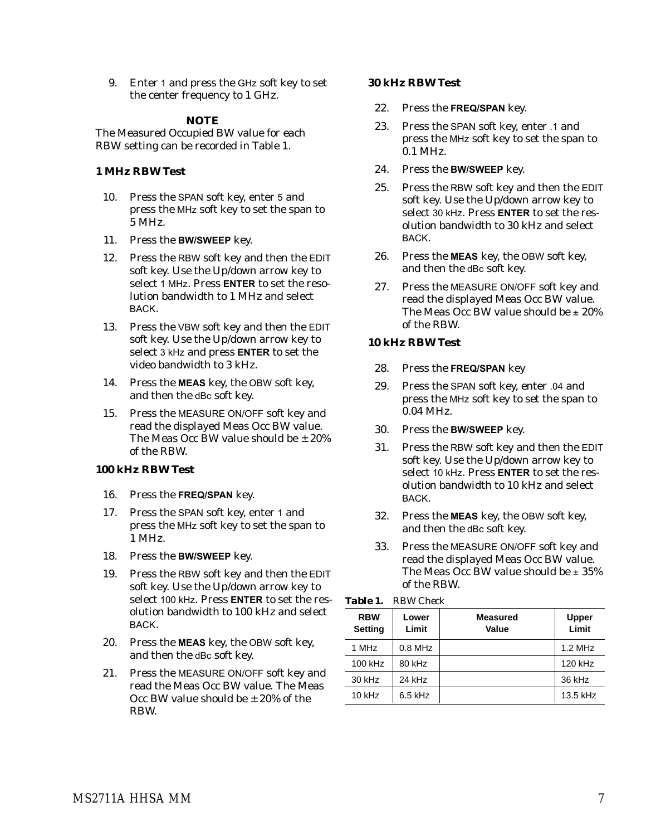9. Enter 1 and press the GHz soft key to set the center frequency to 1 GHz.

#### *NOTE*

The Measured Occupied BW value for each RBW setting can be recorded in Table 1.

#### **1 MHz RBW Test**

- 10. Press the SPAN soft key, enter 5 and press the MHz soft key to set the span to 5 MHz.
- 11. Press the **BW/SWEEP** key.
- 12. Press the RBW soft key and then the EDIT soft key. Use the Up/down arrow key to select 1 MHz. Press **ENTER** to set the resolution bandwidth to 1 MHz and select BACK.
- 13. Press the VBW soft key and then the EDIT soft key. Use the Up/down arrow key to select 3 kHz and press **ENTER** to set the video bandwidth to 3 kHz.
- 14. Press the **MEAS** key, the OBW soft key, and then the dBc soft key.
- 15. Press the MEASURE ON/OFF soft key and read the displayed Meas Occ BW value. The Meas Occ BW value should be  $\pm 20\%$ of the RBW.

#### **100 kHz RBW Test**

- 16. Press the **FREQ/SPAN** key.
- 17. Press the SPAN soft key, enter 1 and press the MHz soft key to set the span to 1 MHz.
- 18. Press the **BW/SWEEP** key.
- 19. Press the RBW soft key and then the EDIT soft key. Use the Up/down arrow key to select 100 kHz. Press **ENTER** to set the resolution bandwidth to 100 kHz and select BACK.
- 20. Press the **MEAS** key, the OBW soft key, and then the dBc soft key.
- 21. Press the MEASURE ON/OFF soft key and read the Meas Occ BW value. The Meas Occ BW value should be  $\pm$  20% of the RBW.

#### **30 kHz RBW Test**

- 22. Press the **FREQ/SPAN** key.
- 23. Press the SPAN soft key, enter .1 and press the MHz soft key to set the span to 0.1 MHz.
- 24. Press the **BW/SWEEP** key.
- 25. Press the RBW soft key and then the EDIT soft key. Use the Up/down arrow key to select 30 kHz. Press **ENTER** to set the resolution bandwidth to 30 kHz and select BACK.
- 26. Press the **MEAS** key, the OBW soft key, and then the dBc soft key.
- 27. Press the MEASURE ON/OFF soft key and read the displayed Meas Occ BW value. The Meas Occ BW value should be  $\pm$  20% of the RBW.

## **10 kHz RBW Test**

- 28. Press the **FREQ/SPAN** key
- 29. Press the SPAN soft key, enter .04 and press the MHz soft key to set the span to 0.04 MHz.
- 30. Press the **BW/SWEEP** key.
- 31. Press the RBW soft key and then the EDIT soft key. Use the Up/down arrow key to select 10 kHz. Press **ENTER** to set the resolution bandwidth to 10 kHz and select BACK.
- 32. Press the **MEAS** key, the OBW soft key, and then the dBc soft key.
- 33. Press the MEASURE ON/OFF soft key and read the displayed Meas Occ BW value. The Meas Occ BW value should be  $\pm~35\%$ of the RBW.

| Table 1. | <b>RBW</b> Check |
|----------|------------------|
|          |                  |

| <b>RBW</b><br><b>Setting</b> | Lower<br>Limit | <b>Measured</b><br>Value | <b>Upper</b><br>Limit |
|------------------------------|----------------|--------------------------|-----------------------|
| 1 MHz                        | $0.8$ MHz      |                          | 1.2 MHz               |
| 100 kHz                      | 80 kHz         |                          | 120 kHz               |
| 30 kHz                       | 24 kHz         |                          | 36 kHz                |
| $10$ kHz                     | $6.5$ kHz      |                          | 13.5 kHz              |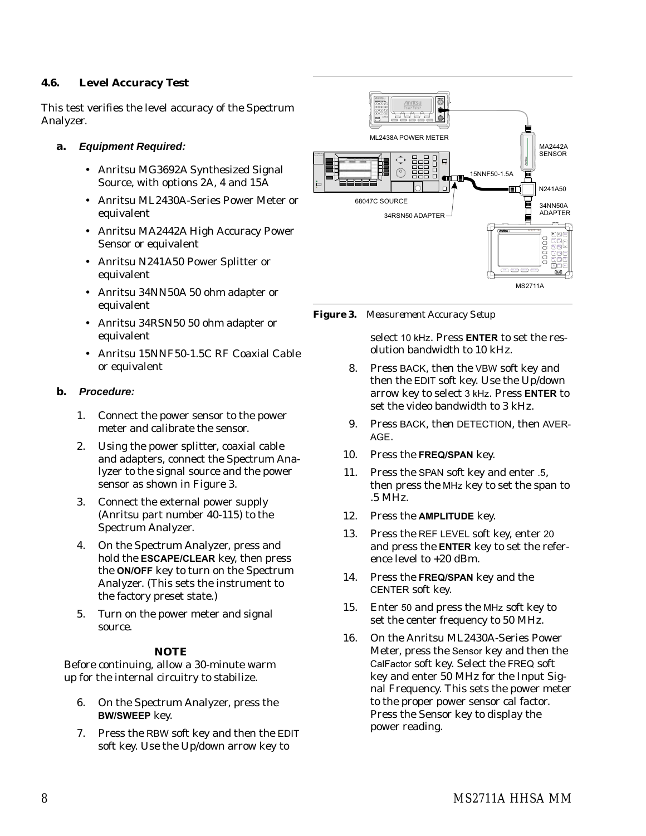#### **4.6. Level Accuracy Test**

This test verifies the level accuracy of the Spectrum Analyzer.

#### **a. Equipment Required:**

- Anritsu MG3692A Synthesized Signal Source, with options 2A, 4 and 15A
- Anritsu ML2430A-Series Power Meter or equivalent
- Anritsu MA2442A High Accuracy Power Sensor or equivalent
- Anritsu N241A50 Power Splitter or equivalent
- Anritsu 34NN50A 50 ohm adapter or equivalent
- Anritsu 34RSN50 50 ohm adapter or equivalent
- Anritsu 15NNF50-1.5C RF Coaxial Cable or equivalent

## **b. Procedure:**

- 1. Connect the power sensor to the power meter and calibrate the sensor.
- 2. Using the power splitter, coaxial cable and adapters, connect the Spectrum Analyzer to the signal source and the power sensor as shown in Figure 3.
- 3. Connect the external power supply (Anritsu part number 40-115) to the Spectrum Analyzer.
- 4. On the Spectrum Analyzer, press and hold the **ESCAPE/CLEAR** key, then press the **ON/OFF** key to turn on the Spectrum Analyzer. (This sets the instrument to the factory preset state.)
- 5. Turn on the power meter and signal source.

#### *NOTE*

Before continuing, allow a 30-minute warm up for the internal circuitry to stabilize.

- 6. On the Spectrum Analyzer, press the **BW/SWEEP** key.
- 7. Press the RBW soft key and then the EDIT soft key. Use the Up/down arrow key to



*Figure 3. Measurement Accuracy Setup*

select 10 kHz. Press **ENTER** to set the resolution bandwidth to 10 kHz.

- 8. Press BACK, then the VBW soft key and then the EDIT soft key. Use the Up/down arrow key to select 3 kHz. Press **ENTER** to set the video bandwidth to 3 kHz.
- 9. Press BACK, then DETECTION, then AVER-AGE.
- 10. Press the **FREQ/SPAN** key.
- 11. Press the SPAN soft key and enter .5, then press the MHz key to set the span to .5 MHz.
- 12. Press the **AMPLITUDE** key.
- 13. Press the REF LEVEL soft key, enter 20 and press the **ENTER** key to set the reference level to +20 dBm.
- 14. Press the **FREQ/SPAN** key and the CENTER soft key.
- 15. Enter 50 and press the MHz soft key to set the center frequency to 50 MHz.
- 16. On the Anritsu ML2430A-Series Power Meter, press the Sensor key and then the CalFactor soft key. Select the FREQ soft key and enter 50 MHz for the Input Signal Frequency. This sets the power meter to the proper power sensor cal factor. Press the Sensor key to display the power reading.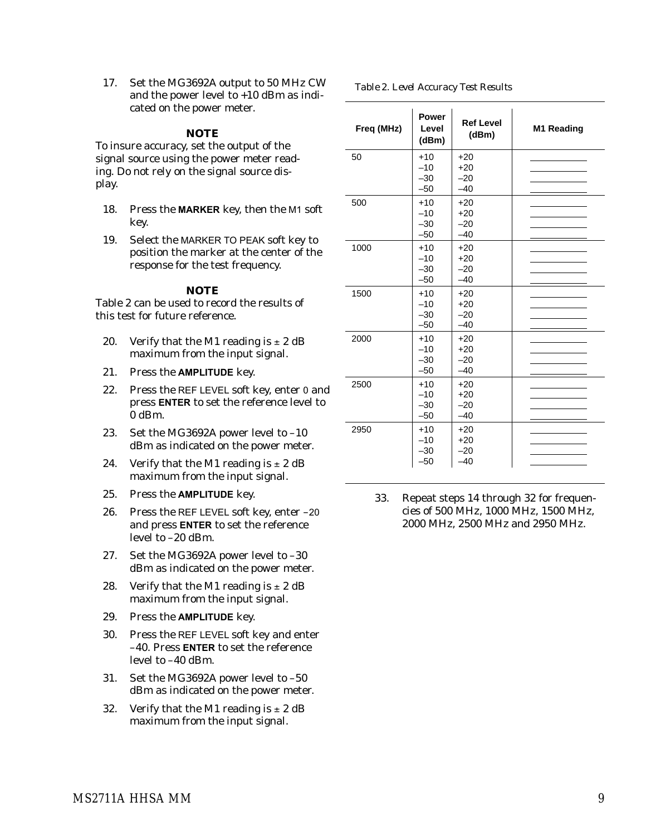17. Set the MG3692A output to 50 MHz CW and the power level to +10 dBm as indicated on the power meter.

#### *NOTE*

To insure accuracy, set the output of the signal source using the power meter reading. Do not rely on the signal source display.

- 18. Press the **MARKER** key, then the M1 soft key.
- 19. Select the MARKER TO PEAK soft key to position the marker at the center of the response for the test frequency.

#### *NOTE*

Table 2 can be used to record the results of this test for future reference.

- 20. Verify that the M1 reading is  $\pm 2$  dB maximum from the input signal.
- 21. Press the **AMPLITUDE** key.
- 22. Press the REF LEVEL soft key, enter 0 and press **ENTER** to set the reference level to 0 dBm.
- 23. Set the MG3692A power level to –10 dBm as indicated on the power meter.
- 24. Verify that the M1 reading is  $\pm 2$  dB maximum from the input signal.
- 25. Press the **AMPLITUDE** key.
- 26. Press the REF LEVEL soft key, enter –20 and press **ENTER** to set the reference level to –20 dBm.
- 27. Set the MG3692A power level to –30 dBm as indicated on the power meter.
- 28. Verify that the M1 reading is  $\pm 2$  dB maximum from the input signal.
- 29. Press the **AMPLITUDE** key.
- 30. Press the REF LEVEL soft key and enter –40. Press **ENTER** to set the reference level to –40 dBm.
- 31. Set the MG3692A power level to –50 dBm as indicated on the power meter.
- 32. Verify that the M1 reading is  $\pm 2$  dB maximum from the input signal.

*Table 2. Level Accuracy Test Results*

| Freq (MHz) | Power<br>Level<br>(dBm)          | <b>Ref Level</b><br>(dBm)        | M1 Reading |
|------------|----------------------------------|----------------------------------|------------|
| 50         | $+10$<br>$-10$<br>$-30$<br>$-50$ | $+20$<br>$+20$<br>$-20$<br>$-40$ |            |
| 500        | $+10$<br>$-10$<br>$-30$<br>$-50$ | $+20$<br>$+20$<br>$-20$<br>$-40$ |            |
| 1000       | $+10$<br>$-10$<br>$-30$<br>$-50$ | $+20$<br>$+20$<br>$-20$<br>$-40$ |            |
| 1500       | $+10$<br>$-10$<br>$-30$<br>$-50$ | $+20$<br>$+20$<br>$-20$<br>$-40$ |            |
| 2000       | $+10$<br>$-10$<br>$-30$<br>$-50$ | $+20$<br>$+20$<br>$-20$<br>$-40$ |            |
| 2500       | $+10$<br>$-10$<br>$-30$<br>$-50$ | $+20$<br>$+20$<br>$-20$<br>$-40$ |            |
| 2950       | $+10$<br>$-10$<br>$-30$<br>-50   | $+20$<br>$+20$<br>$-20$<br>-40   |            |

33. Repeat steps 14 through 32 for frequencies of 500 MHz, 1000 MHz, 1500 MHz, 2000 MHz, 2500 MHz and 2950 MHz.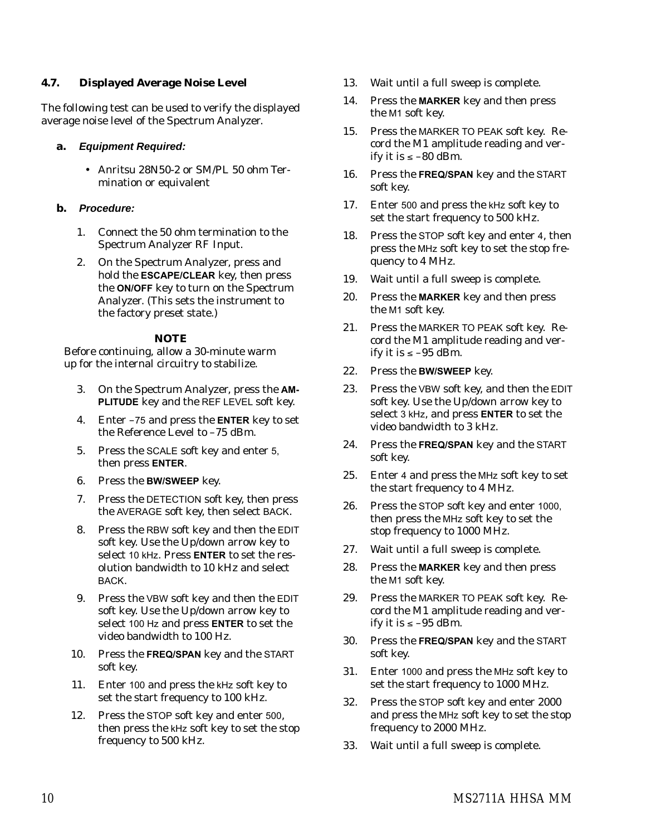#### **4.7. Displayed Average Noise Level**

The following test can be used to verify the displayed average noise level of the Spectrum Analyzer.

## **a. Equipment Required:**

 Anritsu 28N50-2 or SM/PL 50 ohm Termination or equivalent

## **b. Procedure:**

- 1. Connect the 50 ohm termination to the Spectrum Analyzer RF Input.
- 2. On the Spectrum Analyzer, press and hold the **ESCAPE/CLEAR** key, then press the **ON/OFF** key to turn on the Spectrum Analyzer. (This sets the instrument to the factory preset state.)

## *NOTE*

- 3. On the Spectrum Analyzer, press the **AM-PLITUDE** key and the REF LEVEL soft key.
- 4. Enter –75 and press the **ENTER** key to set the Reference Level to –75 dBm.
- 5. Press the SCALE soft key and enter 5, then press **ENTER**.
- 6. Press the **BW/SWEEP** key.
- 7. Press the DETECTION soft key, then press the AVERAGE soft key, then select BACK.
- 8. Press the RBW soft key and then the EDIT soft key. Use the Up/down arrow key to select 10 kHz. Press **ENTER** to set the resolution bandwidth to 10 kHz and select BACK.
- 9. Press the VBW soft key and then the EDIT soft key. Use the Up/down arrow key to select 100 Hz and press **ENTER** to set the video bandwidth to 100 Hz.
- 10. Press the **FREQ/SPAN** key and the START soft key.
- 11. Enter 100 and press the kHz soft key to set the start frequency to 100 kHz.
- 12. Press the STOP soft key and enter 500, then press the kHz soft key to set the stop frequency to 500 kHz.
- 13. Wait until a full sweep is complete.
- 14. Press the **MARKER** key and then press the M1 soft key.
- 15. Press the MARKER TO PEAK soft key. Record the M1 amplitude reading and verify it is  $\le -80$  dBm.
- 16. Press the **FREQ/SPAN** key and the START soft key.
- 17. Enter 500 and press the kHz soft key to set the start frequency to 500 kHz.
- 18. Press the STOP soft key and enter 4, then press the MHz soft key to set the stop frequency to 4 MHz.
- 19. Wait until a full sweep is complete.
- 20. Press the **MARKER** key and then press the M1 soft key.
- 21. Press the MARKER TO PEAK soft key. Record the M1 amplitude reading and verify it is  $\le -95$  dBm.
- 22. Press the **BW/SWEEP** key.
- 23. Press the VBW soft key, and then the EDIT soft key. Use the Up/down arrow key to select 3 kHz, and press **ENTER** to set the video bandwidth to 3 kHz.
- 24. Press the **FREQ/SPAN** key and the START soft key.
- 25. Enter 4 and press the MHz soft key to set the start frequency to 4 MHz.
- 26. Press the STOP soft key and enter 1000, then press the MHz soft key to set the stop frequency to 1000 MHz.
- 27. Wait until a full sweep is complete.
- 28. Press the **MARKER** key and then press the M1 soft key.
- 29. Press the MARKER TO PEAK soft key. Record the M1 amplitude reading and verify it is  $\le -95$  dBm.
- 30. Press the **FREQ/SPAN** key and the START soft key.
- 31. Enter 1000 and press the MHz soft key to set the start frequency to 1000 MHz.
- 32. Press the STOP soft key and enter 2000 and press the MHz soft key to set the stop frequency to 2000 MHz.
- 33. Wait until a full sweep is complete.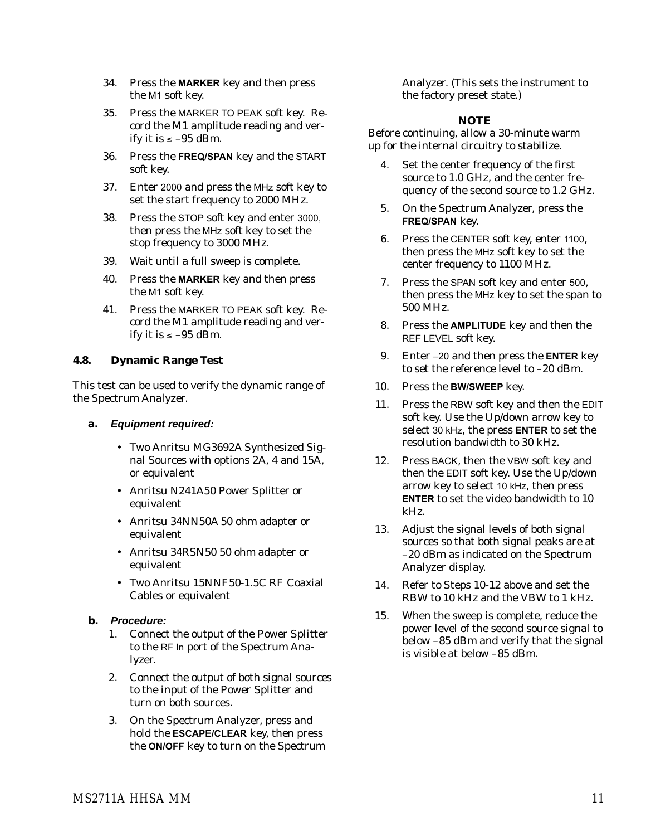- 34. Press the **MARKER** key and then press the M1 soft key.
- 35. Press the MARKER TO PEAK soft key. Record the M1 amplitude reading and verify it is  $\le -95$  dBm.
- 36. Press the **FREQ/SPAN** key and the START soft key.
- 37. Enter 2000 and press the MHz soft key to set the start frequency to 2000 MHz.
- 38. Press the STOP soft key and enter 3000, then press the MHz soft key to set the stop frequency to 3000 MHz.
- 39. Wait until a full sweep is complete.
- 40. Press the **MARKER** key and then press the M1 soft key.
- 41. Press the MARKER TO PEAK soft key. Record the M1 amplitude reading and verify it is  $\le -95$  dBm.

## **4.8. Dynamic Range Test**

This test can be used to verify the dynamic range of the Spectrum Analyzer.

- **a. Equipment required:**
	- Two Anritsu MG3692A Synthesized Signal Sources with options 2A, 4 and 15A, or equivalent
	- Anritsu N241A50 Power Splitter or equivalent
	- Anritsu 34NN50A 50 ohm adapter or equivalent
	- Anritsu 34RSN50 50 ohm adapter or equivalent
	- Two Anritsu 15NNF50-1.5C RF Coaxial Cables or equivalent

#### **b. Procedure:**

- 1. Connect the output of the Power Splitter to the RF In port of the Spectrum Analyzer.
- 2. Connect the output of both signal sources to the input of the Power Splitter and turn on both sources.
- 3. On the Spectrum Analyzer, press and hold the **ESCAPE/CLEAR** key, then press the **ON/OFF** key to turn on the Spectrum

Analyzer. (This sets the instrument to the factory preset state.)

#### *NOTE*

- 4. Set the center frequency of the first source to 1.0 GHz, and the center frequency of the second source to 1.2 GHz.
- 5. On the Spectrum Analyzer, press the **FREQ/SPAN** key.
- 6. Press the CENTER soft key, enter 1100, then press the MHz soft key to set the center frequency to 1100 MHz.
- 7. Press the SPAN soft key and enter 500, then press the MHz key to set the span to 500 MHz.
- 8. Press the **AMPLITUDE** key and then the REF LEVEL soft key.
- 9. Enter –20 and then press the **ENTER** key to set the reference level to –20 dBm.
- 10. Press the **BW/SWEEP** key.
- 11. Press the RBW soft key and then the EDIT soft key. Use the Up/down arrow key to select 30 kHz, the press **ENTER** to set the resolution bandwidth to 30 kHz.
- 12. Press BACK, then the VBW soft key and then the EDIT soft key. Use the Up/down arrow key to select 10 kHz, then press **ENTER** to set the video bandwidth to 10 kHz.
- 13. Adjust the signal levels of both signal sources so that both signal peaks are at –20 dBm as indicated on the Spectrum Analyzer display.
- 14. Refer to Steps 10-12 above and set the RBW to 10 kHz and the VBW to 1 kHz.
- 15. When the sweep is complete, reduce the power level of the second source signal to below –85 dBm and verify that the signal is visible at below –85 dBm.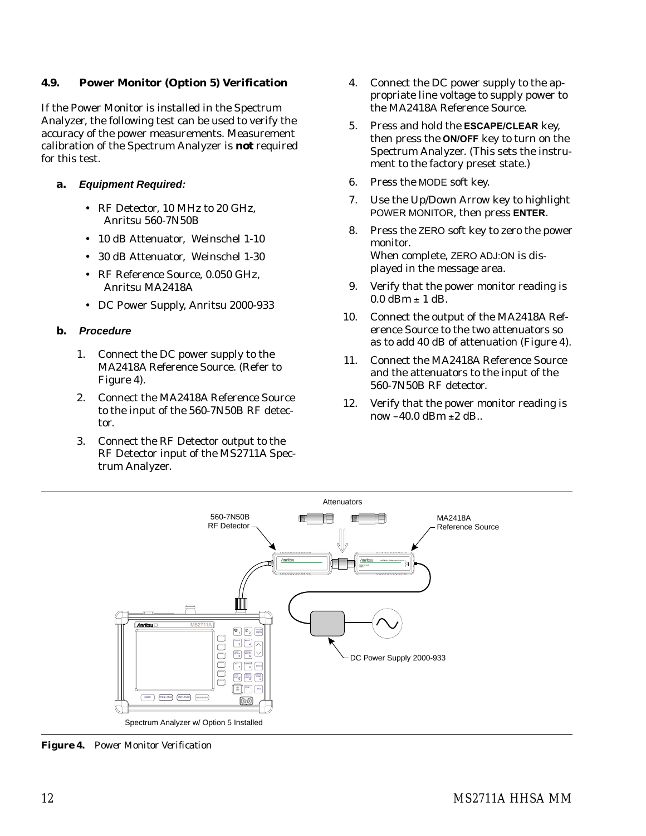#### **4.9. Power Monitor (Option 5) Verification**

If the Power Monitor is installed in the Spectrum Analyzer, the following test can be used to verify the accuracy of the power measurements. Measurement calibration of the Spectrum Analyzer is *not* required for this test.

- **a. Equipment Required:**
	- RF Detector, 10 MHz to 20 GHz, Anritsu 560-7N50B
	- 10 dB Attenuator, Weinschel 1-10
	- 30 dB Attenuator, Weinschel 1-30
	- RF Reference Source, 0.050 GHz, Anritsu MA2418A
	- DC Power Supply, Anritsu 2000-933

## **b. Procedure**

- 1. Connect the DC power supply to the MA2418A Reference Source. (Refer to Figure 4).
- 2. Connect the MA2418A Reference Source to the input of the 560-7N50B RF detector.
- 3. Connect the RF Detector output to the RF Detector input of the MS2711A Spectrum Analyzer.
- 4. Connect the DC power supply to the appropriate line voltage to supply power to the MA2418A Reference Source.
- 5. Press and hold the **ESCAPE/CLEAR** key, then press the **ON/OFF** key to turn on the Spectrum Analyzer. (This sets the instrument to the factory preset state.)
- 6. Press the MODE soft key.
- 7. Use the Up/Down Arrow key to highlight POWER MONITOR, then press **ENTER**.
- 8. Press the ZERO soft key to zero the power monitor. When complete, ZERO ADJ:ON is displayed in the message area.
- 9. Verify that the power monitor reading is  $0.0$  dBm  $\pm$  1 dB.
- 10. Connect the output of the MA2418A Reference Source to the two attenuators so as to add 40 dB of attenuation (Figure 4).
- 11. Connect the MA2418A Reference Source and the attenuators to the input of the 560-7N50B RF detector.
- 12. Verify that the power monitor reading is now –40.0 dBm ±2 dB..



*Figure 4. Power Monitor Verification*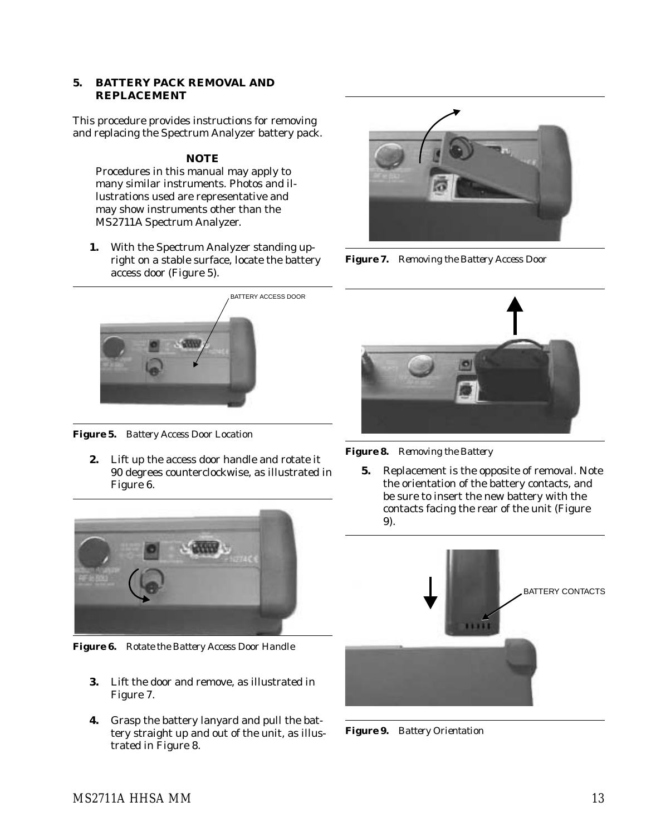#### **5. BATTERY PACK REMOVAL AND REPLACEMENT**

This procedure provides instructions for removing and replacing the Spectrum Analyzer battery pack.

#### *NOTE*

Procedures in this manual may apply to many similar instruments. Photos and illustrations used are representative and may show instruments other than the MS2711A Spectrum Analyzer.

**1.** With the Spectrum Analyzer standing upright on a stable surface, locate the battery access door (Figure 5).



*Figure 7. Removing the Battery Access Door*



*Figure 5. Battery Access Door Location*

**2.** Lift up the access door handle and rotate it 90 degrees counterclockwise, as illustrated in Figure 6.



*Figure 6. Rotate the Battery Access Door Handle*

- **3.** Lift the door and remove, as illustrated in Figure 7.
- **4.** Grasp the battery lanyard and pull the battery straight up and out of the unit, as illustrated in Figure 8.



*Figure 8. Removing the Battery*

**5.** Replacement is the opposite of removal. Note the orientation of the battery contacts, and be sure to insert the new battery with the contacts facing the rear of the unit (Figure 9).



*Figure 9. Battery Orientation*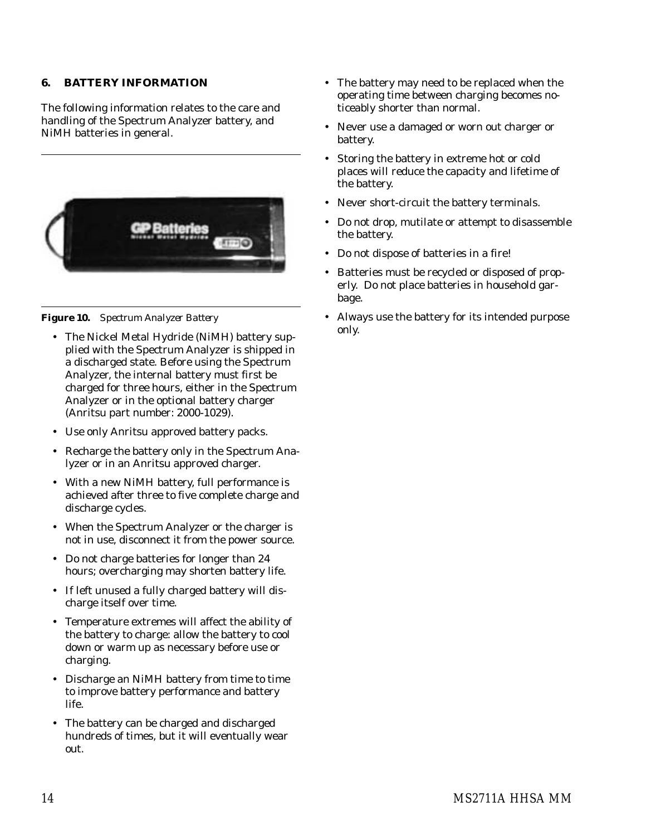#### **6. BATTERY INFORMATION**

The following information relates to the care and handling of the Spectrum Analyzer battery, and NiMH batteries in general.



*Figure 10. Spectrum Analyzer Battery*

- The Nickel Metal Hydride (NiMH) battery supplied with the Spectrum Analyzer is shipped in a discharged state. Before using the Spectrum Analyzer, the internal battery must first be charged for three hours, either in the Spectrum Analyzer or in the optional battery charger (Anritsu part number: 2000-1029).
- Use only Anritsu approved battery packs.
- Recharge the battery only in the Spectrum Analyzer or in an Anritsu approved charger.
- With a new NiMH battery, full performance is achieved after three to five complete charge and discharge cycles.
- When the Spectrum Analyzer or the charger is not in use, disconnect it from the power source.
- Do not charge batteries for longer than 24 hours; overcharging may shorten battery life.
- If left unused a fully charged battery will discharge itself over time.
- Temperature extremes will affect the ability of the battery to charge: allow the battery to cool down or warm up as necessary before use or charging.
- Discharge an NiMH battery from time to time to improve battery performance and battery life.
- The battery can be charged and discharged hundreds of times, but it will eventually wear out.
- The battery may need to be replaced when the operating time between charging becomes noticeably shorter than normal.
- Never use a damaged or worn out charger or battery.
- Storing the battery in extreme hot or cold places will reduce the capacity and lifetime of the battery.
- Never short-circuit the battery terminals.
- Do not drop, mutilate or attempt to disassemble the battery.
- Do not dispose of batteries in a fire!
- Batteries must be recycled or disposed of properly. Do not place batteries in household garbage.
- Always use the battery for its intended purpose only.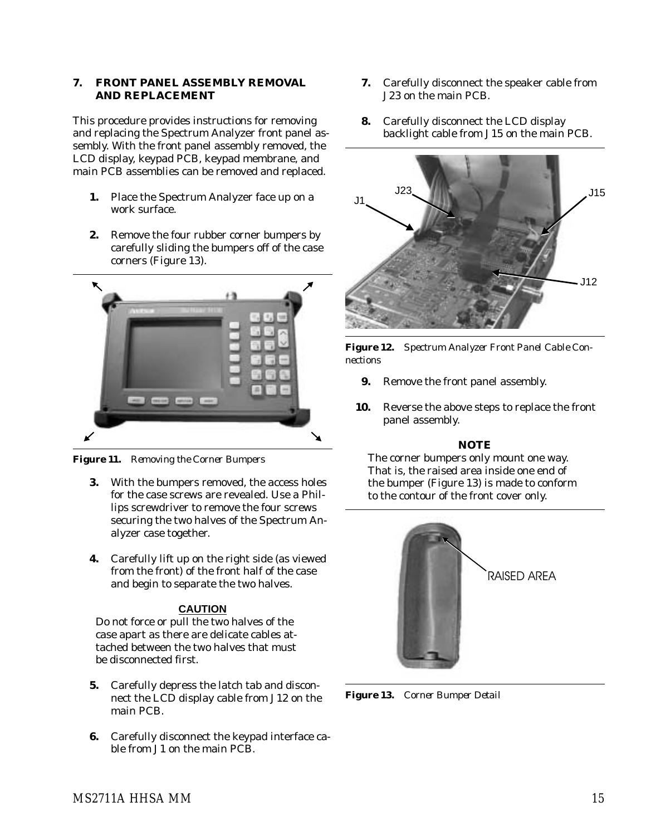#### **7. FRONT PANEL ASSEMBLY REMOVAL AND REPLACEMENT**

This procedure provides instructions for removing and replacing the Spectrum Analyzer front panel assembly. With the front panel assembly removed, the LCD display, keypad PCB, keypad membrane, and main PCB assemblies can be removed and replaced.

- **1.** Place the Spectrum Analyzer face up on a work surface.
- **2.** Remove the four rubber corner bumpers by carefully sliding the bumpers off of the case corners (Figure 13).



*Figure 11. Removing the Corner Bumpers*

- **3.** With the bumpers removed, the access holes for the case screws are revealed. Use a Phillips screwdriver to remove the four screws securing the two halves of the Spectrum Analyzer case together.
- **4.** Carefully lift up on the right side (as viewed from the front) of the front half of the case and begin to separate the two halves.

# **CAUTION**

Do not force or pull the two halves of the case apart as there are delicate cables attached between the two halves that must be disconnected first.

- **5.** Carefully depress the latch tab and disconnect the LCD display cable from J12 on the main PCB.
- **6.** Carefully disconnect the keypad interface cable from J1 on the main PCB.
- **7.** Carefully disconnect the speaker cable from J23 on the main PCB.
- **8.** Carefully disconnect the LCD display backlight cable from J15 on the main PCB.



*Figure 12. Spectrum Analyzer Front Panel Cable Connections*

- **9.** Remove the front panel assembly.
- **10.** Reverse the above steps to replace the front panel assembly.

# *NOTE*

The corner bumpers only mount one way. That is, the raised area inside one end of the bumper (Figure 13) is made to conform to the contour of the front cover only.



*Figure 13. Corner Bumper Detail*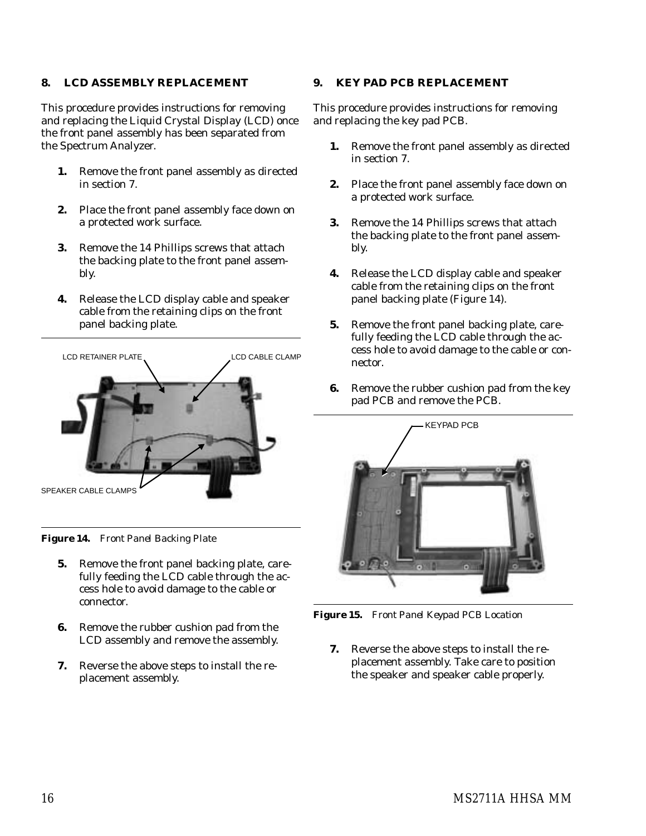#### **8. LCD ASSEMBLY REPLACEMENT**

This procedure provides instructions for removing and replacing the Liquid Crystal Display (LCD) once the front panel assembly has been separated from the Spectrum Analyzer.

- **1.** Remove the front panel assembly as directed in section 7.
- **2.** Place the front panel assembly face down on a protected work surface.
- **3.** Remove the 14 Phillips screws that attach the backing plate to the front panel assembly.
- **4.** Release the LCD display cable and speaker cable from the retaining clips on the front panel backing plate.



*Figure 14. Front Panel Backing Plate*

- **5.** Remove the front panel backing plate, carefully feeding the LCD cable through the access hole to avoid damage to the cable or connector.
- **6.** Remove the rubber cushion pad from the LCD assembly and remove the assembly.
- **7.** Reverse the above steps to install the replacement assembly.

#### **9. KEY PAD PCB REPLACEMENT**

This procedure provides instructions for removing and replacing the key pad PCB.

- **1.** Remove the front panel assembly as directed in section 7.
- **2.** Place the front panel assembly face down on a protected work surface.
- **3.** Remove the 14 Phillips screws that attach the backing plate to the front panel assembly.
- **4.** Release the LCD display cable and speaker cable from the retaining clips on the front panel backing plate (Figure 14).
- **5.** Remove the front panel backing plate, carefully feeding the LCD cable through the access hole to avoid damage to the cable or connector.
- **6.** Remove the rubber cushion pad from the key pad PCB and remove the PCB.



*Figure 15. Front Panel Keypad PCB Location*

**7.** Reverse the above steps to install the replacement assembly. Take care to position the speaker and speaker cable properly.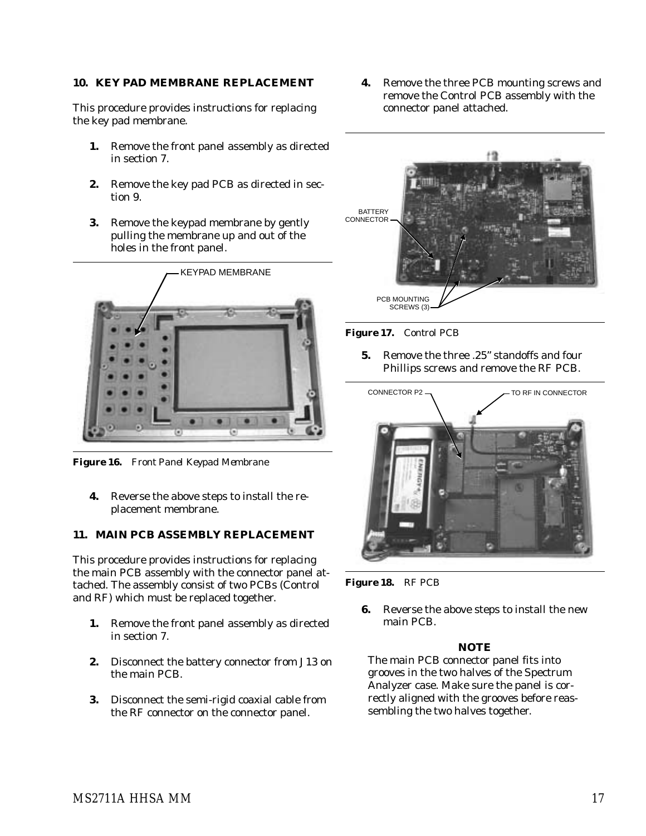#### **10. KEY PAD MEMBRANE REPLACEMENT**

This procedure provides instructions for replacing the key pad membrane.

- **1.** Remove the front panel assembly as directed in section 7.
- **2.** Remove the key pad PCB as directed in section 9.
- **3.** Remove the keypad membrane by gently pulling the membrane up and out of the holes in the front panel.



*Figure 16. Front Panel Keypad Membrane*

**4.** Reverse the above steps to install the replacement membrane.

#### **11. MAIN PCB ASSEMBLY REPLACEMENT**

This procedure provides instructions for replacing the main PCB assembly with the connector panel attached. The assembly consist of two PCBs (Control and RF) which must be replaced together.

- **1.** Remove the front panel assembly as directed in section 7.
- **2.** Disconnect the battery connector from J13 on the main PCB.
- **3.** Disconnect the semi-rigid coaxial cable from the RF connector on the connector panel.

**4.** Remove the three PCB mounting screws and remove the Control PCB assembly with the connector panel attached.



*Figure 17. Control PCB*

**5.** Remove the three .25" standoffs and four Phillips screws and remove the RF PCB.



*Figure 18. RF PCB*

**6.** Reverse the above steps to install the new main PCB.

#### *NOTE*

The main PCB connector panel fits into grooves in the two halves of the Spectrum Analyzer case. Make sure the panel is correctly aligned with the grooves before reassembling the two halves together.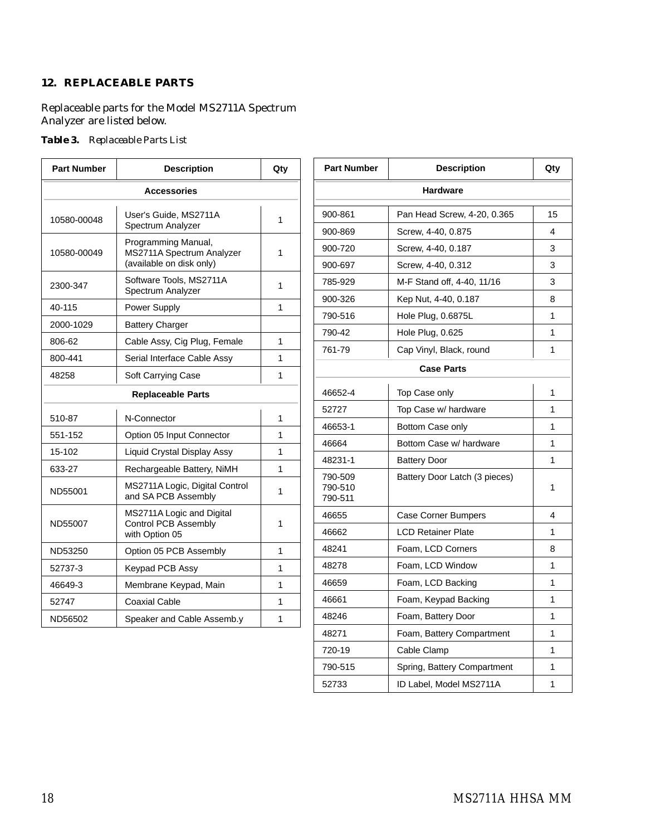## **12. REPLACEABLE PARTS**

Replaceable parts for the Model MS2711A Spectrum Analyzer are listed below.

#### *Table 3. Replaceable Parts List*

| <b>Part Number</b>                                                                          | <b>Description</b>                                                                  | Qty               | <b>Part Number</b>            | <b>Description</b>            | Qty          |  |  |
|---------------------------------------------------------------------------------------------|-------------------------------------------------------------------------------------|-------------------|-------------------------------|-------------------------------|--------------|--|--|
| <b>Accessories</b>                                                                          |                                                                                     |                   |                               | <b>Hardware</b>               |              |  |  |
| User's Guide, MS2711A<br>10580-00048<br>Spectrum Analyzer                                   | 1                                                                                   | 900-861           | Pan Head Screw, 4-20, 0.365   | 15                            |              |  |  |
|                                                                                             |                                                                                     | 900-869           | Screw, 4-40, 0.875            | 4                             |              |  |  |
| Programming Manual,<br>MS2711A Spectrum Analyzer<br>10580-00049<br>(available on disk only) | 1                                                                                   | 900-720           | Screw, 4-40, 0.187            | 3                             |              |  |  |
|                                                                                             |                                                                                     | 900-697           | Screw, 4-40, 0.312            | 3                             |              |  |  |
| 2300-347                                                                                    | Software Tools, MS2711A<br>Spectrum Analyzer                                        | $\mathbf{1}$      | 785-929                       | M-F Stand off, 4-40, 11/16    | 3            |  |  |
| 40-115                                                                                      | Power Supply                                                                        | 1                 | 900-326                       | Kep Nut, 4-40, 0.187          | 8            |  |  |
|                                                                                             |                                                                                     |                   | 790-516                       | Hole Plug, 0.6875L            | $\mathbf{1}$ |  |  |
| 2000-1029                                                                                   | <b>Battery Charger</b>                                                              |                   | 790-42                        | Hole Plug, 0.625              | $\mathbf{1}$ |  |  |
| 806-62                                                                                      | Cable Assy, Cig Plug, Female                                                        | $\mathbf{1}$      | 761-79                        | Cap Vinyl, Black, round       | $\mathbf{1}$ |  |  |
| 800-441                                                                                     | Serial Interface Cable Assy                                                         | $\mathbf{1}$      |                               | <b>Case Parts</b>             |              |  |  |
| 48258                                                                                       | Soft Carrying Case                                                                  | $\mathbf{1}$      |                               |                               |              |  |  |
|                                                                                             | <b>Replaceable Parts</b>                                                            |                   | 46652-4                       | Top Case only                 | $\mathbf 1$  |  |  |
| 510-87                                                                                      | N-Connector                                                                         | 1                 | 52727                         | Top Case w/ hardware          | $\mathbf{1}$ |  |  |
| 551-152                                                                                     | Option 05 Input Connector                                                           | $\mathbf{1}$      | 46653-1                       | Bottom Case only              | $\mathbf{1}$ |  |  |
| 15-102                                                                                      | Liquid Crystal Display Assy                                                         | $\mathbf{1}$      | 46664                         | Bottom Case w/ hardware       | $\mathbf{1}$ |  |  |
|                                                                                             |                                                                                     |                   | 48231-1                       | <b>Battery Door</b>           | $\mathbf{1}$ |  |  |
| 633-27<br>ND55001                                                                           | Rechargeable Battery, NiMH<br>MS2711A Logic, Digital Control<br>and SA PCB Assembly | $\mathbf{1}$<br>1 | 790-509<br>790-510<br>790-511 | Battery Door Latch (3 pieces) | $\mathbf 1$  |  |  |
| MS2711A Logic and Digital<br><b>Control PCB Assembly</b><br>ND55007<br>with Option 05       |                                                                                     |                   | 46655                         | <b>Case Corner Bumpers</b>    | 4            |  |  |
|                                                                                             | 1                                                                                   | 46662             | <b>LCD Retainer Plate</b>     | $\mathbf{1}$                  |              |  |  |
| ND53250                                                                                     | Option 05 PCB Assembly                                                              | $\mathbf{1}$      | 48241                         | Foam, LCD Corners             | 8            |  |  |
| 52737-3                                                                                     | Keypad PCB Assy                                                                     | $\mathbf{1}$      | 48278                         | Foam. LCD Window              | $\mathbf{1}$ |  |  |
| 46649-3                                                                                     | Membrane Keypad, Main                                                               | $\mathbf{1}$      | 46659                         | Foam, LCD Backing             | $\mathbf{1}$ |  |  |
| 52747                                                                                       | <b>Coaxial Cable</b>                                                                | $\mathbf{1}$      | 46661                         | Foam, Keypad Backing          | $\mathbf 1$  |  |  |
| ND56502                                                                                     | Speaker and Cable Assemb.y                                                          | $\mathbf{1}$      | 48246                         | Foam, Battery Door            | $\mathbf{1}$ |  |  |
|                                                                                             |                                                                                     |                   | 48271                         | Foam, Battery Compartment     | $\mathbf{1}$ |  |  |

720-19 | Cable Clamp | 1 790-515 | Spring, Battery Compartment | 1 52733 | ID Label, Model MS2711A | 1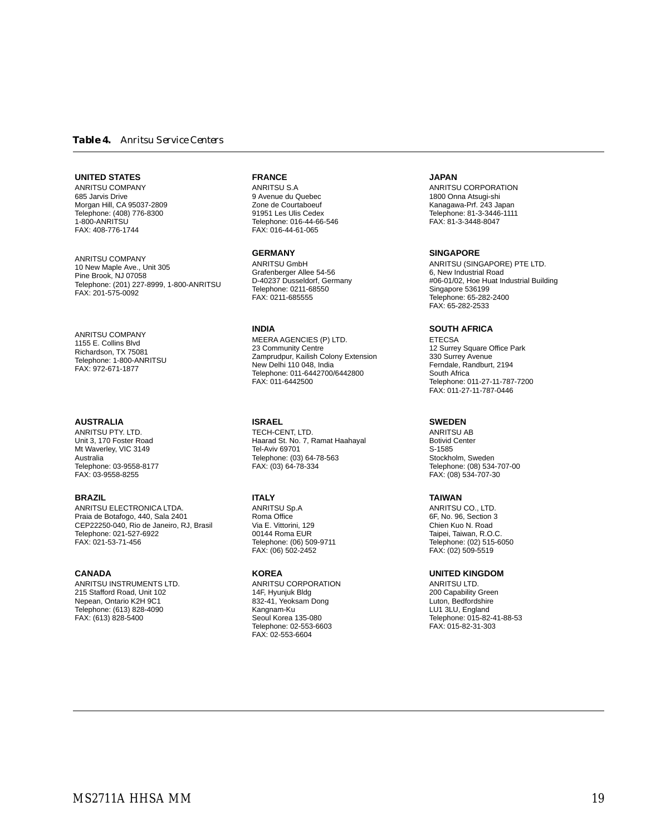#### *Table 4. Anritsu Service Centers*

#### **UNITED STATES**

ANRITSU COMPANY 685 Jarvis Drive Morgan Hill, CA 95037-2809 Telephone: (408) 776-8300 1-800-ANRITSU FAX: 408-776-1744

ANRITSU COMPANY 10 New Maple Ave., Unit 305 Pine Brook, NJ 07058 Telephone: (201) 227-8999, 1-800-ANRITSU FAX: 201-575-0092

ANRITSU COMPANY 1155 E. Collins Blvd Richardson, TX 75081 Telephone: 1-800-ANRITSU FAX: 972-671-1877

#### **AUSTRALIA**

ANRITSU PTY. LTD. Unit 3, 170 Foster Road Mt Waverley, VIC 3149 Australia Telephone: 03-9558-8177 FAX: 03-9558-8255

#### **BRAZIL**

ANRITSU ELECTRONICA LTDA. Praia de Botafogo, 440, Sala 2401 CEP22250-040, Rio de Janeiro, RJ, Brasil Telephone: 021-527-6922 FAX: 021-53-71-456

#### **CANADA**

ANRITSU INSTRUMENTS LTD. 215 Stafford Road, Unit 102 Nepean, Ontario K2H 9C1 Telephone: (613) 828-4090 FAX: (613) 828-5400

#### **FRANCE**

ANRITSU S.A 9 Avenue du Quebec Zone de Courtaboeuf 91951 Les Ulis Cedex Telephone: 016-44-66-546 FAX: 016-44-61-065

#### **GERMANY**

ANRITSU GmbH Grafenberger Allee 54-56 D-40237 Dusseldorf, Germany Telephone: 0211-68550 FAX: 0211-685555

#### **INDIA**

MEERA AGENCIES (P) LTD. 23 Community Centre Zamprudpur, Kailish Colony Extension New Delhi 110 048, India Telephone: 011-6442700/6442800 FAX: 011-6442500

#### **ISRAEL**

TECH-CENT, LTD. Haarad St. No. 7, Ramat Haahayal Tel-Aviv 69701 Telephone: (03) 64-78-563 FAX: (03) 64-78-334

#### **ITALY**

ANRITSU Sp.A Roma Office Via E. Vittorini, 129 00144 Roma EUR Telephone: (06) 509-9711 FAX: (06) 502-2452

#### **KOREA**

ANRITSU CORPORATION 14F, Hyunjuk Bldg 832-41, Yeoksam Dong Kangnam-Ku Seoul Korea 135-080 Telephone: 02-553-6603 FAX: 02-553-6604

#### **JAPAN**

ANRITSU CORPORATION 1800 Onna Atsugi-shi Kanagawa-Prf. 243 Japan Telephone: 81-3-3446-1111 FAX: 81-3-3448-8047

#### **SINGAPORE**

ANRITSU (SINGAPORE) PTE LTD. 6, New Industrial Road #06-01/02, Hoe Huat Industrial Building Singapore 536199 Telephone: 65-282-2400 FAX: 65-282-2533

#### **SOUTH AFRICA**

**ETECSA** 12 Surrey Square Office Park 330 Surrey Avenue Ferndale, Randburt, 2194 South Africa Telephone: 011-27-11-787-7200 FAX: 011-27-11-787-0446

#### **SWEDEN**

ANRITSU AB Botivid Center S-1585 Stockholm, Sweden Telephone: (08) 534-707-00 FAX: (08) 534-707-30

#### **TAIWAN**

ANRITSU CO., LTD. 6F, No. 96, Section 3 Chien Kuo N. Road Taipei, Taiwan, R.O.C. Telephone: (02) 515-6050 FAX: (02) 509-5519

#### **UNITED KINGDOM**

ANRITSU LTD. 200 Capability Green Luton, Bedfordshire LU1 3LU, England Telephone: 015-82-41-88-53 FAX: 015-82-31-303